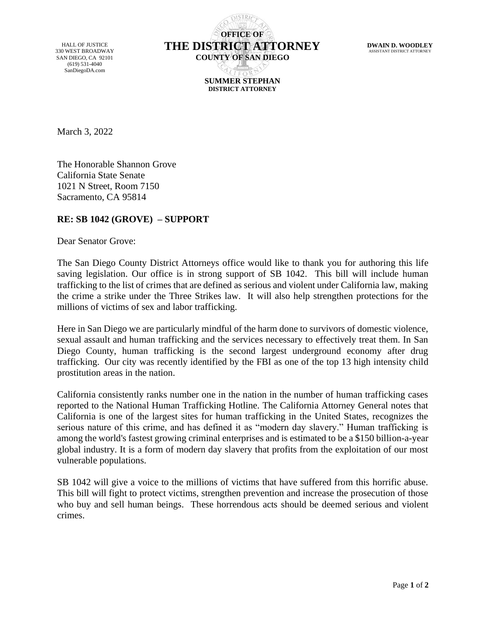HALL OF JUSTICE 330 WEST BROADWAY SAN DIEGO, CA 92101 (619) 531-4040 SanDiegoDA.com

**OFFICE OF THE DISTRICT ATTORNEY COUNTY OF SAN DIEGO SUMMER STEPHAN DISTRICT ATTORNEY**

**DWAIN D. WOODLEY** ASSISTANT DISTRICT ATTORNE

March 3, 2022

The Honorable Shannon Grove California State Senate 1021 N Street, Room 7150 Sacramento, CA 95814

## **RE: SB 1042 (GROVE) – SUPPORT**

Dear Senator Grove:

The San Diego County District Attorneys office would like to thank you for authoring this life saving legislation. Our office is in strong support of SB 1042. This bill will include human trafficking to the list of crimes that are defined as serious and violent under California law, making the crime a strike under the Three Strikes law. It will also help strengthen protections for the millions of victims of sex and labor trafficking.

Here in San Diego we are particularly mindful of the harm done to survivors of domestic violence, sexual assault and human trafficking and the services necessary to effectively treat them. In San Diego County, human trafficking is the second largest underground economy after drug trafficking. Our city was recently identified by the FBI as one of the top 13 high intensity child prostitution areas in the nation.

California consistently ranks number one in the nation in the number of human trafficking cases reported to the National Human Trafficking Hotline. The California Attorney General notes that California is one of the largest sites for human trafficking in the United States, recognizes the serious nature of this crime, and has defined it as "modern day slavery." Human trafficking is among the world's fastest growing criminal enterprises and is estimated to be a \$150 billion-a-year global industry. It is a form of modern day slavery that profits from the exploitation of our most vulnerable populations.

SB 1042 will give a voice to the millions of victims that have suffered from this horrific abuse. This bill will fight to protect victims, strengthen prevention and increase the prosecution of those who buy and sell human beings. These horrendous acts should be deemed serious and violent crimes.